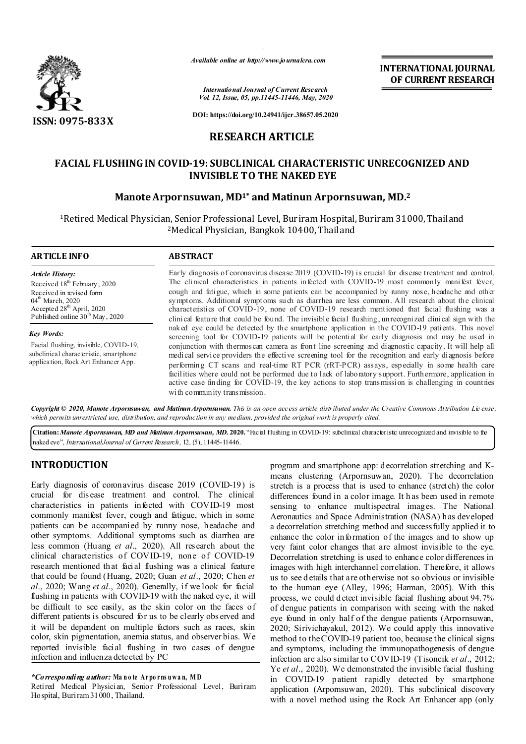

*Available online at http://www.journalcra.com*

*International Journal of Current Research Vol. 12, Issue, 05, pp.11445-11446, May, 2020* **INTERNATIONAL JOURNAL OF CURRENT RESEARCH**

**DOI: https://doi.org/10.24941/ijcr.38657.05.2020**

# **RESEARCH ARTICLE**

# **FACIAL FLUSHING IN COVID-19: SUBCLINICAL CHARACTERISTIC UNRECOGNIZED AND INVISIBLE TO THE NAKED EYE**

## **Manote Arpornsuwan, MD1\* and Matinun Arpornsuwan, MD.2**

1Retired Medical Physician, Senior Professional Level, Buriram Hospital, Buriram 31000, Thailand 2Medical Physician, Bangkok 10400, Thailand

### **ARTICLE INFO ABSTRACT**

*Article History:* Received 18<sup>th</sup> February, 2020 Received in revised form 04<sup>th</sup> March, 2020 Accepted 28<sup>th</sup> April, 2020 Published online 30<sup>th</sup> May, 2020

*Key Words:* Facial flushing, invisible, COVID-19, subclinical characteristic, smartphone application, Rock Art Enhancer App.

Early diagnosis of coronavirus disease 2019 (COVID-19) is crucial for disease treatment and control. The clinical characteristics in patients infected with COVID-19 most commonly manifest fever, cough and fatigue, which in some patients can be accompanied by runny nose, headache and other symptoms. Additional symptoms such as diarrhea are less common. All research about the clinical characteristics of COVID-19, none of COVID-19 research mentioned that facial flushing was a clinical feature that could be found. The invisible facial flushing, unrecognized clinical sign with the naked eye could be detected by the smartphone application in the COVID-19 patients. This novel screening tool for COVID-19 patients will be potential for early diagnosis and may be used in conjunction with thermoscan camera as front line screening and diagnostic capacity. It will help all medical service providers the effective screening tool for the recognition and early diagnosis before performing CT scans and real-time RT PCR (rRT-PCR) assays, especially in some health care facilities where could not be performed due to lack of laboratory support. Furthermore, application in active case finding for COVID-19, the key actions to stop transmission is challenging in countries with community transmission.

Copyright © 2020, Manote Arpornsuwan, and Matinun Arpornsuwan. This is an open access article distributed under the Creative Commons Attribution License, which permits unrestricted use, distribution, and reproduction in any medium, provided the original work is properly cited.

**Citation:***Manote Arpornsuwan, MD and Matinun Arpornsuwan, MD.* **2020.** "Facial flushing in COVID-19: subclinical characteristic unrecognized and invisible to the naked eye", *InternationalJournal of Current Research*, 12, (5), 11445-11446.

# **INTRODUCTION**

Early diagnosis of coronavirus disease 2019 (COVID-19) is crucial for dis ease treatment and control. The clinical characteristics in patients infected with COVID-19 most commonly manifest fever, cough and fatigue, which in some patients can be accompanied by runny nose, headache and other symptoms. Additional symptoms such as diarrhea are less common (Huang *et al*., 2020). All research about the clinical characteristics of COVID-19, none of COVID-19 research mentioned that facial flushing was a clinical feature that could be found (Huang, 2020; Guan *et al*., 2020; Chen *et al*., 2020; Wang *et al*., 2020). Generally, if we look for facial flushing in patients with COVID-19 with the naked eye, it will be difficult to see easily, as the skin color on the faces of different patients is obscured for us to be clearly obs erved and it will be dependent on multiple factors such as races, skin color, skin pigmentation, anemia status, and observer bias. We reported invisible facial flushing in two cases of dengue infection and influenza detected by PC

### *\*Corresponding author:* **Ma n o te A r po r ns u w a n, M D**

Retired Medical Physician, Senior Professional Level, Buriram Hospital, Buriram 31000, Thailand.

program and smartphone app: d ecorrelation stretching and Kmeans clustering (Arpornsuwan, 2020). The decorrelation stretch is a process that is used to enhance (stretch) the color differences found in a color image. It h as been used in remote sensing to enhance multispectral images. The National Aeronautics and Space Administration (NASA) has developed a decorrelation stretching method and successfully applied it to enhance the color information of the images and to show up very faint color changes that are almost invisible to the eye. Decorrelation stretching is used to enhance color differences in images with high interchannel correlation. T herefore, it allows us to see d etails that are otherwise not so obvious or invisible to the human eye (Alley, 1996; Harman, 2005). With this process, we could d etect invisible facial flushing about 94.7% of dengue patients in comparison with seeing with the naked eye found in only half of the dengue patients (Arpornsuwan, 2020; Sirivichayakul, 2012). We could apply this innovative method to the COVID-19 patient too, because the clinical signs and symptoms, including the immunopathogenesis of dengue infection are also similar to COVID-19 (Tisoncik *et al*., 2012; Ye *et al*., 2020). We demonstrated the invisible facial flushing in COVID-19 patient rapidly detected by smartphone application (Arpornsuwan, 2020). This subclinical discovery with a novel method using the Rock Art Enhancer app (only